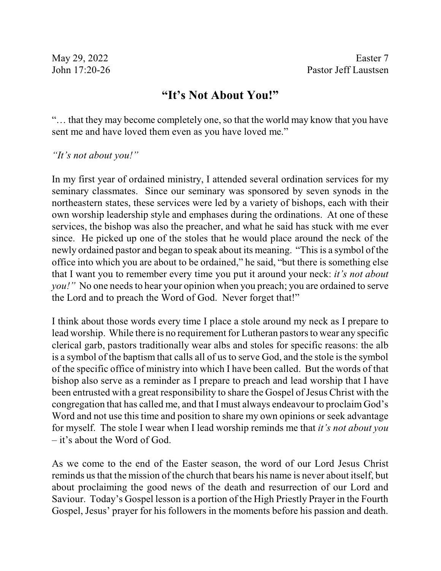## **"It's Not About You!"**

"… that they may become completely one, so that the world may know that you have sent me and have loved them even as you have loved me."

*"It's not about you!"*

In my first year of ordained ministry, I attended several ordination services for my seminary classmates. Since our seminary was sponsored by seven synods in the northeastern states, these services were led by a variety of bishops, each with their own worship leadership style and emphases during the ordinations. At one of these services, the bishop was also the preacher, and what he said has stuck with me ever since. He picked up one of the stoles that he would place around the neck of the newly ordained pastor and began to speak about its meaning. "Thisis a symbol of the office into which you are about to be ordained," he said, "but there is something else that I want you to remember every time you put it around your neck: *it's not about you!"* No one needs to hear your opinion when you preach; you are ordained to serve the Lord and to preach the Word of God. Never forget that!"

I think about those words every time I place a stole around my neck as I prepare to lead worship. While there is no requirement for Lutheran pastors to wear any specific clerical garb, pastors traditionally wear albs and stoles for specific reasons: the alb is a symbol of the baptism that calls all of us to serve God, and the stole is the symbol of the specific office of ministry into which I have been called. But the words of that bishop also serve as a reminder as I prepare to preach and lead worship that I have been entrusted with a great responsibility to share the Gospel of Jesus Christ with the congregation that has called me, and that I must always endeavour to proclaim God's Word and not use this time and position to share my own opinions or seek advantage for myself. The stole I wear when I lead worship reminds me that *it's not about you* – it's about the Word of God.

As we come to the end of the Easter season, the word of our Lord Jesus Christ reminds us that the mission of the church that bears his name is never about itself, but about proclaiming the good news of the death and resurrection of our Lord and Saviour. Today's Gospel lesson is a portion of the High Priestly Prayer in the Fourth Gospel, Jesus' prayer for his followers in the moments before his passion and death.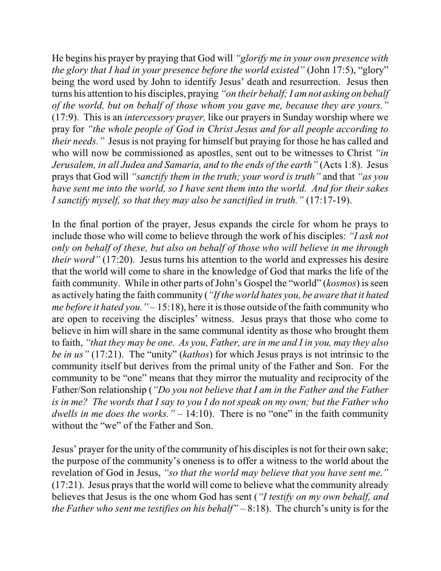He begins his prayer by praying that God will *"glorify me in your own presence with the glory that I had in your presence before the world existed"* (John 17:5), "glory" being the word used by John to identify Jesus' death and resurrection. Jesus then turns his attention to his disciples, praying *"on their behalf; I am not asking on behalf of the world, but on behalf of those whom you gave me, because they are yours."* (17:9). This is an *intercessory prayer,* like our prayers in Sunday worship where we pray for *"the whole people of God in Christ Jesus and for all people according to their needs."* Jesus is not praying for himself but praying for those he has called and who will now be commissioned as apostles, sent out to be witnesses to Christ *"in Jerusalem, in all Judea and Samaria, and to the ends of the earth"* (Acts 1:8). Jesus prays that God will *"sanctify them in the truth; your word is truth"* and that *"as you have sent me into the world, so I have sent them into the world. And for their sakes I sanctify myself, so that they may also be sanctified in truth."* (17:17-19).

In the final portion of the prayer, Jesus expands the circle for whom he prays to include those who will come to believe through the work of his disciples: *"I ask not only on behalf of these, but also on behalf of those who will believe in me through their word*" (17:20). Jesus turns his attention to the world and expresses his desire that the world will come to share in the knowledge of God that marks the life of the faith community. While in other parts of John's Gospel the "world" (*kosmos*) is seen as actively hating the faith community (*"If the world hates you, be aware that it hated me before it hated you."* – 15:18), here it is those outside of the faith community who are open to receiving the disciples' witness. Jesus prays that those who come to believe in him will share in the same communal identity as those who brought them to faith, *"that they may be one. As you, Father, are in me and I in you, may they also be in us"* (17:21). The "unity" (*kathos*) for which Jesus prays is not intrinsic to the community itself but derives from the primal unity of the Father and Son. For the community to be "one" means that they mirror the mutuality and reciprocity of the Father/Son relationship (*"Do you not believe that I am in the Father and the Father is in me? The words that I say to you I do not speak on my own; but the Father who dwells in me does the works."* – 14:10). There is no "one" in the faith community without the "we" of the Father and Son.

Jesus' prayer for the unity of the community of his disciplesis not for their own sake; the purpose of the community's oneness is to offer a witness to the world about the revelation of God in Jesus, *"so that the world may believe that you have sent me."* (17:21). Jesus prays that the world will come to believe what the community already believes that Jesus is the one whom God has sent (*"I testify on my own behalf, and the Father who sent me testifies on his behalf"* – 8:18). The church's unity is for the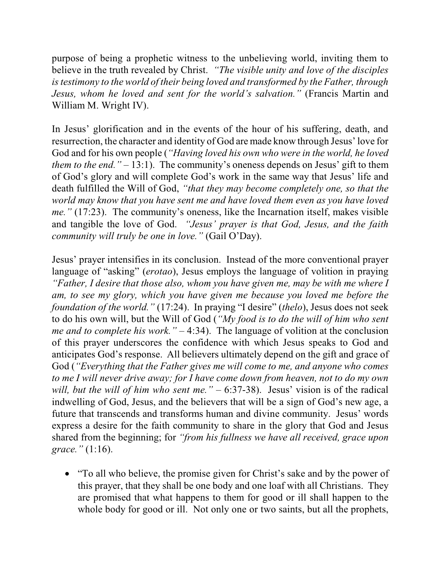purpose of being a prophetic witness to the unbelieving world, inviting them to believe in the truth revealed by Christ. *"The visible unity and love of the disciples istestimony to the world of their being loved and transformed by the Father, through Jesus, whom he loved and sent for the world's salvation."* (Francis Martin and William M. Wright IV).

In Jesus' glorification and in the events of the hour of his suffering, death, and resurrection, the character and identity of God are made know through Jesus'love for God and for his own people (*"Having loved his own who were in the world, he loved them to the end."* – 13:1). The community's oneness depends on Jesus' gift to them of God's glory and will complete God's work in the same way that Jesus' life and death fulfilled the Will of God, *"that they may become completely one, so that the world may know that you have sent me and have loved them even as you have loved me."* (17:23). The community's oneness, like the Incarnation itself, makes visible and tangible the love of God. *"Jesus' prayer is that God, Jesus, and the faith community will truly be one in love."* (Gail O'Day).

Jesus' prayer intensifies in its conclusion. Instead of the more conventional prayer language of "asking" (*erotao*), Jesus employs the language of volition in praying *"Father, I desire that those also, whom you have given me, may be with me where I am, to see my glory, which you have given me because you loved me before the foundation of the world."* (17:24). In praying "I desire" (*thelo*), Jesus does not seek to do his own will, but the Will of God (*"My food is to do the will of him who sent me and to complete his work."* – 4:34). The language of volition at the conclusion of this prayer underscores the confidence with which Jesus speaks to God and anticipates God's response. All believers ultimately depend on the gift and grace of God (*"Everything that the Father gives me will come to me, and anyone who comes to me I will never drive away; for I have come down from heaven, not to do my own will, but the will of him who sent me."* – 6:37-38). Jesus' vision is of the radical indwelling of God, Jesus, and the believers that will be a sign of God's new age, a future that transcends and transforms human and divine community. Jesus' words express a desire for the faith community to share in the glory that God and Jesus shared from the beginning; for *"from his fullness we have all received, grace upon grace."* (1:16).

• "To all who believe, the promise given for Christ's sake and by the power of this prayer, that they shall be one body and one loaf with all Christians. They are promised that what happens to them for good or ill shall happen to the whole body for good or ill. Not only one or two saints, but all the prophets,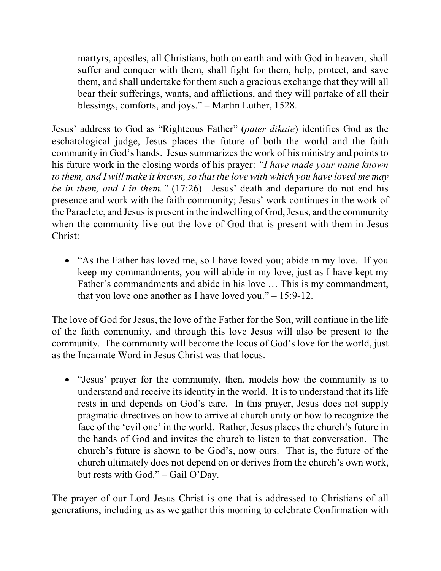martyrs, apostles, all Christians, both on earth and with God in heaven, shall suffer and conquer with them, shall fight for them, help, protect, and save them, and shall undertake for them such a gracious exchange that they will all bear their sufferings, wants, and afflictions, and they will partake of all their blessings, comforts, and joys." – Martin Luther, 1528.

Jesus' address to God as "Righteous Father" (*pater dikaie*) identifies God as the eschatological judge, Jesus places the future of both the world and the faith community in God's hands. Jesus summarizes the work of his ministry and points to his future work in the closing words of his prayer: *"I have made your name known to them, and I will make it known, so that the love with which you have loved me may be in them, and I in them."* (17:26). Jesus' death and departure do not end his presence and work with the faith community; Jesus' work continues in the work of the Paraclete, and Jesus is present in the indwelling of God, Jesus, and the community when the community live out the love of God that is present with them in Jesus Christ:

• "As the Father has loved me, so I have loved you; abide in my love. If you keep my commandments, you will abide in my love, just as I have kept my Father's commandments and abide in his love … This is my commandment, that you love one another as I have loved you."  $-15:9-12$ .

The love of God for Jesus, the love of the Father for the Son, will continue in the life of the faith community, and through this love Jesus will also be present to the community. The community will become the locus of God's love for the world, just as the Incarnate Word in Jesus Christ was that locus.

· "Jesus' prayer for the community, then, models how the community is to understand and receive its identity in the world. It is to understand that its life rests in and depends on God's care. In this prayer, Jesus does not supply pragmatic directives on how to arrive at church unity or how to recognize the face of the 'evil one' in the world. Rather, Jesus places the church's future in the hands of God and invites the church to listen to that conversation. The church's future is shown to be God's, now ours. That is, the future of the church ultimately does not depend on or derives from the church's own work, but rests with God." – Gail O'Day.

The prayer of our Lord Jesus Christ is one that is addressed to Christians of all generations, including us as we gather this morning to celebrate Confirmation with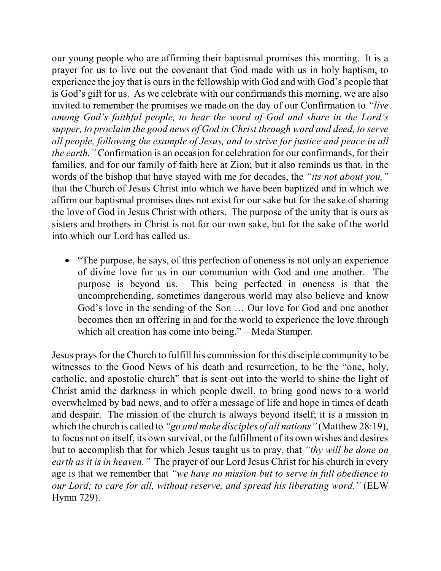our young people who are affirming their baptismal promises this morning. It is a prayer for us to live out the covenant that God made with us in holy baptism, to experience the joy that is ours in the fellowship with God and with God's people that is God's gift for us. As we celebrate with our confirmands this morning, we are also invited to remember the promises we made on the day of our Confirmation to *"live among God's faithful people, to hear the word of God and share in the Lord's supper, to proclaim the good news of God in Christ through word and deed, to serve all people, following the example of Jesus, and to strive for justice and peace in all the earth."* Confirmation is an occasion for celebration for our confirmands, for their families, and for our family of faith here at Zion; but it also reminds us that, in the words of the bishop that have stayed with me for decades, the *"its not about you,"* that the Church of Jesus Christ into which we have been baptized and in which we affirm our baptismal promises does not exist for our sake but for the sake of sharing the love of God in Jesus Christ with others. The purpose of the unity that is ours as sisters and brothers in Christ is not for our own sake, but for the sake of the world into which our Lord has called us.

• "The purpose, he says, of this perfection of oneness is not only an experience of divine love for us in our communion with God and one another. The purpose is beyond us. This being perfected in oneness is that the uncomprehending, sometimes dangerous world may also believe and know God's love in the sending of the Son … Our love for God and one another becomes then an offering in and for the world to experience the love through which all creation has come into being." – Meda Stamper.

Jesus praysfor the Church to fulfill his commission for this disciple community to be witnesses to the Good News of his death and resurrection, to be the "one, holy, catholic, and apostolic church" that is sent out into the world to shine the light of Christ amid the darkness in which people dwell, to bring good news to a world overwhelmed by bad news, and to offer a message of life and hope in times of death and despair. The mission of the church is always beyond itself; it is a mission in which the church is called to *"go and make disciples of all nations"* (Matthew 28:19), to focus not on itself, its own survival, or the fulfillment of its own wishes and desires but to accomplish that for which Jesus taught us to pray, that *"thy will be done on earth as it is in heaven."* The prayer of our Lord Jesus Christ for his church in every age is that we remember that *"we have no mission but to serve in full obedience to our Lord; to care for all, without reserve, and spread his liberating word."* (ELW Hymn 729).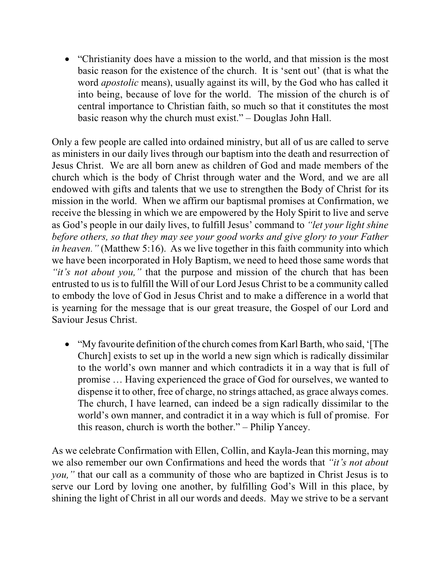• "Christianity does have a mission to the world, and that mission is the most basic reason for the existence of the church. It is 'sent out' (that is what the word *apostolic* means), usually against its will, by the God who has called it into being, because of love for the world. The mission of the church is of central importance to Christian faith, so much so that it constitutes the most basic reason why the church must exist." – Douglas John Hall.

Only a few people are called into ordained ministry, but all of us are called to serve as ministers in our daily lives through our baptism into the death and resurrection of Jesus Christ. We are all born anew as children of God and made members of the church which is the body of Christ through water and the Word, and we are all endowed with gifts and talents that we use to strengthen the Body of Christ for its mission in the world. When we affirm our baptismal promises at Confirmation, we receive the blessing in which we are empowered by the Holy Spirit to live and serve as God's people in our daily lives, to fulfill Jesus' command to *"let your light shine before others, so that they may see your good works and give glory to your Father in heaven.*" (Matthew 5:16). As we live together in this faith community into which we have been incorporated in Holy Baptism, we need to heed those same words that *"it's not about you,"* that the purpose and mission of the church that has been entrusted to us is to fulfill the Will of our Lord Jesus Christ to be a community called to embody the love of God in Jesus Christ and to make a difference in a world that is yearning for the message that is our great treasure, the Gospel of our Lord and Saviour Jesus Christ.

• "My favourite definition of the church comes from Karl Barth, who said, '[The Church] exists to set up in the world a new sign which is radically dissimilar to the world's own manner and which contradicts it in a way that is full of promise … Having experienced the grace of God for ourselves, we wanted to dispense it to other, free of charge, no strings attached, as grace always comes. The church, I have learned, can indeed be a sign radically dissimilar to the world's own manner, and contradict it in a way which is full of promise. For this reason, church is worth the bother." – Philip Yancey.

As we celebrate Confirmation with Ellen, Collin, and Kayla-Jean this morning, may we also remember our own Confirmations and heed the words that *"it's not about you,"* that our call as a community of those who are baptized in Christ Jesus is to serve our Lord by loving one another, by fulfilling God's Will in this place, by shining the light of Christ in all our words and deeds. May we strive to be a servant